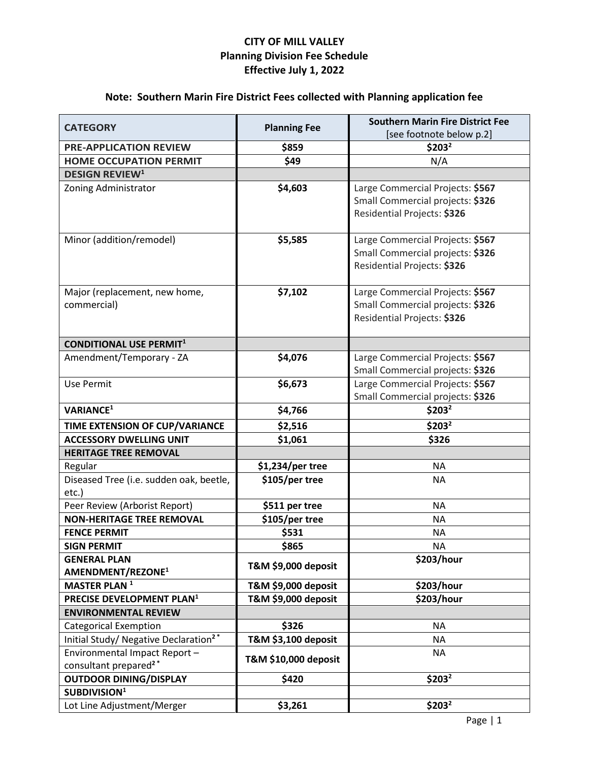## **CITY OF MILL VALLEY Planning Division Fee Schedule Effective July 1, 2022**

# **Note: Southern Marin Fire District Fees collected with Planning application fee**

| <b>CATEGORY</b>                                                                   | <b>Planning Fee</b>          | <b>Southern Marin Fire District Fee</b> |
|-----------------------------------------------------------------------------------|------------------------------|-----------------------------------------|
|                                                                                   |                              | [see footnote below p.2]                |
| <b>PRE-APPLICATION REVIEW</b>                                                     | \$859                        | \$203 <sup>2</sup>                      |
| <b>HOME OCCUPATION PERMIT</b>                                                     | \$49                         | N/A                                     |
| <b>DESIGN REVIEW<sup>1</sup></b>                                                  |                              |                                         |
| Zoning Administrator                                                              | \$4,603                      | Large Commercial Projects: \$567        |
|                                                                                   |                              | Small Commercial projects: \$326        |
|                                                                                   |                              | Residential Projects: \$326             |
| Minor (addition/remodel)                                                          | \$5,585                      | Large Commercial Projects: \$567        |
|                                                                                   |                              | Small Commercial projects: \$326        |
|                                                                                   |                              | Residential Projects: \$326             |
|                                                                                   |                              |                                         |
| Major (replacement, new home,                                                     | \$7,102                      | Large Commercial Projects: \$567        |
| commercial)                                                                       |                              | Small Commercial projects: \$326        |
|                                                                                   |                              | Residential Projects: \$326             |
| <b>CONDITIONAL USE PERMIT1</b>                                                    |                              |                                         |
| Amendment/Temporary - ZA                                                          | \$4,076                      | Large Commercial Projects: \$567        |
|                                                                                   |                              | Small Commercial projects: \$326        |
| Use Permit                                                                        | \$6,673                      | Large Commercial Projects: \$567        |
|                                                                                   |                              | Small Commercial projects: \$326        |
| <b>VARIANCE<sup>1</sup></b>                                                       | \$4,766                      | \$203 <sup>2</sup>                      |
| TIME EXTENSION OF CUP/VARIANCE                                                    | \$2,516                      | \$203 <sup>2</sup>                      |
| <b>ACCESSORY DWELLING UNIT</b>                                                    | \$1,061                      | \$326                                   |
| <b>HERITAGE TREE REMOVAL</b>                                                      |                              |                                         |
| Regular                                                                           | \$1,234/per tree             | <b>NA</b>                               |
| Diseased Tree (i.e. sudden oak, beetle,                                           | \$105/per tree               | <b>NA</b>                               |
| etc.)                                                                             |                              |                                         |
| Peer Review (Arborist Report)                                                     | \$511 per tree               | <b>NA</b>                               |
| <b>NON-HERITAGE TREE REMOVAL</b>                                                  | \$105/per tree               | <b>NA</b>                               |
| <b>FENCE PERMIT</b>                                                               | \$531                        | <b>NA</b>                               |
| <b>SIGN PERMIT</b>                                                                | \$865                        | NA.                                     |
| <b>GENERAL PLAN</b>                                                               | T&M \$9,000 deposit          | \$203/hour                              |
| AMENDMENT/REZONE <sup>1</sup>                                                     |                              |                                         |
| <b>MASTER PLAN<sup>1</sup></b>                                                    | T&M \$9,000 deposit          | \$203/hour                              |
| PRECISE DEVELOPMENT PLAN <sup>1</sup><br><b>ENVIRONMENTAL REVIEW</b>              | T&M \$9,000 deposit          | \$203/hour                              |
|                                                                                   |                              |                                         |
| <b>Categorical Exemption</b><br>Initial Study/ Negative Declaration <sup>2*</sup> | \$326<br>T&M \$3,100 deposit | <b>NA</b><br>NA                         |
| Environmental Impact Report-                                                      |                              | <b>NA</b>                               |
| consultant prepared <sup>2*</sup>                                                 | T&M \$10,000 deposit         |                                         |
| <b>OUTDOOR DINING/DISPLAY</b>                                                     | \$420                        | \$203 <sup>2</sup>                      |
| SUBDIVISION <sup>1</sup>                                                          |                              |                                         |
| Lot Line Adjustment/Merger                                                        | \$3,261                      | \$203 <sup>2</sup>                      |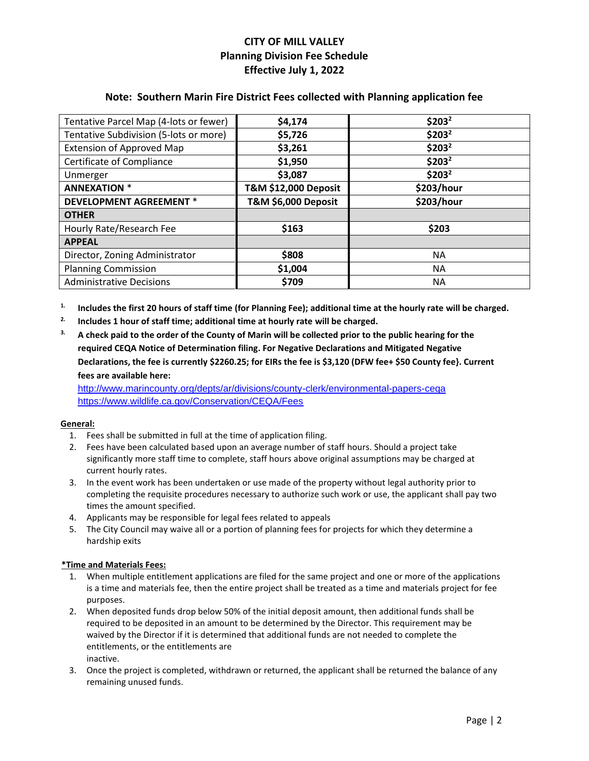## **CITY OF MILL VALLEY Planning Division Fee Schedule Effective July 1, 2022**

### **Note: Southern Marin Fire District Fees collected with Planning application fee**

| Tentative Parcel Map (4-lots or fewer) | \$4,174                         | \$203 <sup>2</sup> |
|----------------------------------------|---------------------------------|--------------------|
| Tentative Subdivision (5-lots or more) | \$5,726                         | \$203 <sup>2</sup> |
| <b>Extension of Approved Map</b>       | \$3,261                         | \$203 <sup>2</sup> |
| Certificate of Compliance              | \$1,950                         | \$203 <sup>2</sup> |
| Unmerger                               | \$3,087                         | \$203 <sup>2</sup> |
| <b>ANNEXATION *</b>                    | <b>T&amp;M \$12,000 Deposit</b> | \$203/hour         |
| <b>DEVELOPMENT AGREEMENT *</b>         | T&M \$6,000 Deposit             | \$203/hour         |
| <b>OTHER</b>                           |                                 |                    |
| Hourly Rate/Research Fee               | \$163                           | \$203              |
| <b>APPEAL</b>                          |                                 |                    |
| Director, Zoning Administrator         | \$808                           | <b>NA</b>          |
| <b>Planning Commission</b>             | \$1,004                         | <b>NA</b>          |
| <b>Administrative Decisions</b>        | \$709                           | <b>NA</b>          |

**1. Includes the first 20 hours of staff time (for Planning Fee); additional time at the hourly rate will be charged.**

- **2. Includes 1 hour of staff time; additional time at hourly rate will be charged.**
- **3. A check paid to the order of the County of Marin will be collected prior to the public hearing for the required CEQA Notice of Determination filing. For Negative Declarations and Mitigated Negative Declarations, the fee is currently \$2260.25; for EIRs the fee is \$3,120 (DFW fee+ \$50 County fee}. Current fees are available here:**

<http://www.marincounty.org/depts/ar/divisions/county-clerk/environmental-papers-ceqa> <https://www.wildlife.ca.gov/Conservation/CEQA/Fees>

### **General:**

- 1. Fees shall be submitted in full at the time of application filing.
- 2. Fees have been calculated based upon an average number of staff hours. Should a project take significantly more staff time to complete, staff hours above original assumptions may be charged at current hourly rates.
- 3. In the event work has been undertaken or use made of the property without legal authority prior to completing the requisite procedures necessary to authorize such work or use, the applicant shall pay two times the amount specified.
- 4. Applicants may be responsible for legal fees related to appeals
- 5. The City Council may waive all or a portion of planning fees for projects for which they determine a hardship exits

### **\*Time and Materials Fees:**

- 1. When multiple entitlement applications are filed for the same project and one or more of the applications is a time and materials fee, then the entire project shall be treated as a time and materials project for fee purposes.
- 2. When deposited funds drop below 50% of the initial deposit amount, then additional funds shall be required to be deposited in an amount to be determined by the Director. This requirement may be waived by the Director if it is determined that additional funds are not needed to complete the entitlements, or the entitlements are inactive.
- 3. Once the project is completed, withdrawn or returned, the applicant shall be returned the balance of any remaining unused funds.